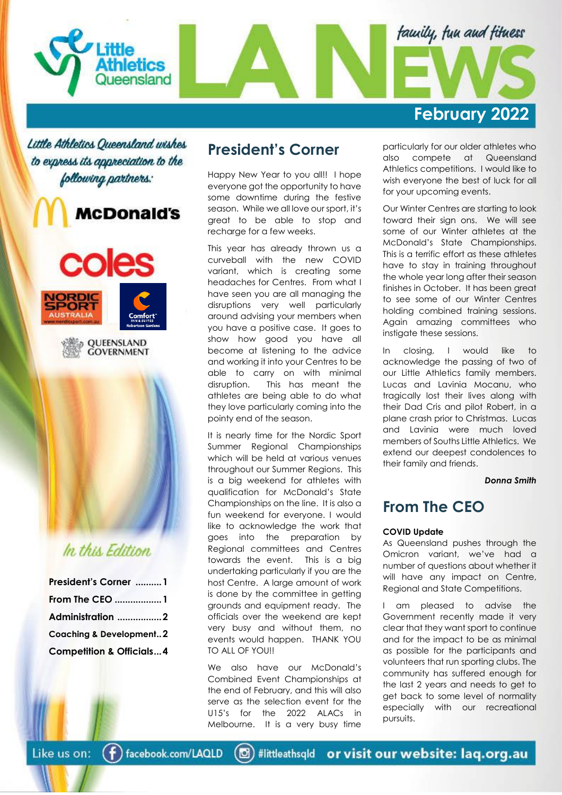

Little Athletics Queensland wishes to express its appreciation to the following partners:









# In this Edition.

| President's Corner 1                |  |
|-------------------------------------|--|
| From The CEO 1                      |  |
| Administration 2                    |  |
| <b>Coaching &amp; Development2</b>  |  |
| <b>Competition &amp; Officials4</b> |  |

# **President's Corner**

Happy New Year to you all!! I hope everyone got the opportunity to have some downtime during the festive season. While we all love our sport, it's great to be able to stop and recharge for a few weeks.

This year has already thrown us a curveball with the new COVID variant, which is creating some headaches for Centres. From what I have seen you are all managing the disruptions very well particularly around advising your members when you have a positive case. It goes to show how good you have all become at listening to the advice and working it into your Centres to be able to carry on with minimal disruption. This has meant the athletes are being able to do what they love particularly coming into the pointy end of the season.

It is nearly time for the Nordic Sport Summer Regional Championships which will be held at various venues throughout our Summer Regions. This is a big weekend for athletes with qualification for McDonald's State Championships on the line. It is also a fun weekend for everyone. I would like to acknowledge the work that goes into the preparation by Regional committees and Centres towards the event. This is a big undertaking particularly if you are the host Centre. A large amount of work is done by the committee in getting grounds and equipment ready. The officials over the weekend are kept very busy and without them, no events would happen. THANK YOU TO ALL OF YOU!!

We also have our McDonald's Combined Event Championships at the end of February, and this will also serve as the selection event for the U15's for the 2022 ALACs in Melbourne. It is a very busy time

particularly for our older athletes who also compete at Queensland Athletics competitions. I would like to wish everyone the best of luck for all for your upcoming events.

Our Winter Centres are starting to look toward their sign ons. We will see some of our Winter athletes at the McDonald's State Championships. This is a terrific effort as these athletes have to stay in training throughout the whole year long after their season finishes in October. It has been great to see some of our Winter Centres holding combined training sessions. Again amazing committees who instigate these sessions.

In closing, I would like to acknowledge the passing of two of our Little Athletics family members. Lucas and Lavinia Mocanu, who tragically lost their lives along with their Dad Cris and pilot Robert, in a plane crash prior to Christmas. Lucas and Lavinia were much loved members of Souths Little Athletics. We extend our deepest condolences to their family and friends.

*Donna Smith*

# **From The CEO**

### **COVID Update**

As Queensland pushes through the Omicron variant, we've had a number of questions about whether it will have any impact on Centre, Regional and State Competitions.

I am pleased to advise the Government recently made it very clear that they want sport to continue and for the impact to be as minimal as possible for the participants and volunteers that run sporting clubs. The community has suffered enough for the last 2 years and needs to get to get back to some level of normality especially with our recreational pursuits.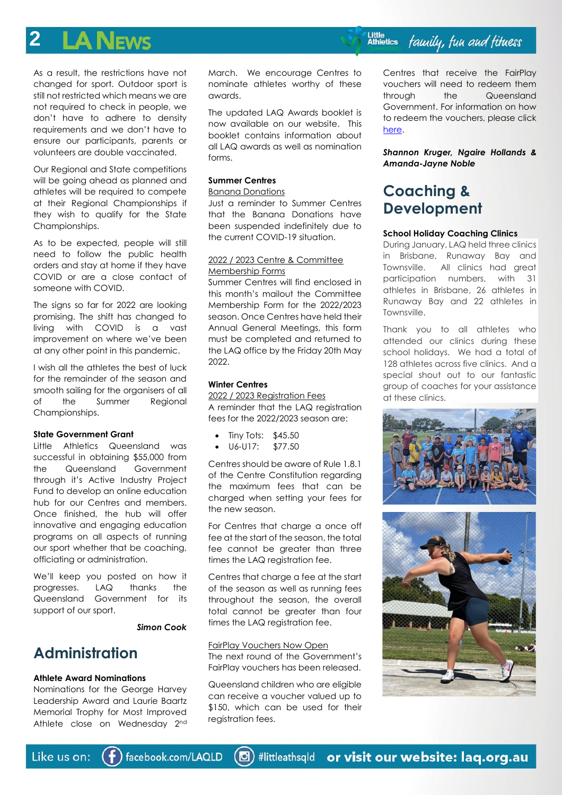### **2**  $\mathbf A$  News

As a result, the restrictions have not changed for sport. Outdoor sport is still not restricted which means we are not required to check in people, we don't have to adhere to density requirements and we don't have to ensure our participants, parents or volunteers are double vaccinated.

Our Regional and State competitions will be going ahead as planned and athletes will be required to compete at their Regional Championships if they wish to qualify for the State Championships.

As to be expected, people will still need to follow the public health orders and stay at home if they have COVID or are a close contact of someone with COVID.

The signs so far for 2022 are looking promising. The shift has changed to living with COVID is a vast improvement on where we've been at any other point in this pandemic.

I wish all the athletes the best of luck for the remainder of the season and smooth sailing for the organisers of all of the Summer Regional Championships.

### **State Government Grant**

Little Athletics Queensland was successful in obtaining \$55,000 from the Queensland Government through it's Active Industry Project Fund to develop an online education hub for our Centres and members. Once finished, the hub will offer innovative and engaging education programs on all aspects of running our sport whether that be coaching, officiating or administration.

We'll keep you posted on how it progresses. LAQ thanks the Queensland Government for its support of our sport.

*Simon Cook*

## **Administration**

### **Athlete Award Nominations**

Nominations for the George Harvey Leadership Award and Laurie Baartz Memorial Trophy for Most Improved Athlete close on Wednesday 2<sup>nd</sup>

March. We encourage Centres to nominate athletes worthy of these awards.

The updated LAQ Awards booklet is now available on our website. This booklet contains information about all LAQ awards as well as nomination forms.

## **Summer Centres**

### Banana Donations

Just a reminder to Summer Centres that the Banana Donations have been suspended indefinitely due to the current COVID-19 situation.

### 2022 / 2023 Centre & Committee Membership Forms

Summer Centres will find enclosed in this month's mailout the Committee Membership Form for the 2022/2023 season. Once Centres have held their Annual General Meetings, this form must be completed and returned to the LAQ office by the Friday 20th May 2022.

### **Winter Centres**

2022 / 2023 Registration Fees A reminder that the LAQ registration fees for the 2022/2023 season are:

- Tiny Tots: \$45.50
- U6-U17: \$77.50

Centres should be aware of Rule 1.8.1 of the Centre Constitution regarding the maximum fees that can be charged when setting your fees for the new season.

For Centres that charge a once off fee at the start of the season, the total fee cannot be greater than three times the LAQ registration fee.

Centres that charge a fee at the start of the season as well as running fees throughout the season, the overall total cannot be greater than four times the LAQ registration fee.

### FairPlay Vouchers Now Open

The next round of the Government's FairPlay vouchers has been released.

Queensland children who are eligible can receive a voucher valued up to \$150, which can be used for their registration fees.

Centres that receive the FairPlay vouchers will need to redeem them through the Queensland Government. For information on how to redeem the vouchers, please click [here.](https://www.qld.gov.au/recreation/sports/funding/fairplay/providers/redeem)

*Shannon Kruger, Ngaire Hollands & Amanda-Jayne Noble*

# **Coaching & Development**

### **School Holiday Coaching Clinics**

During January, LAQ held three clinics in Brisbane, Runaway Bay and Townsville. All clinics had great participation numbers, with 31 athletes in Brisbane, 26 athletes in Runaway Bay and 22 athletes in Townsville.

Thank you to all athletes who attended our clinics during these school holidays. We had a total of 128 athletes across five clinics. And a special shout out to our fantastic group of coaches for your assistance at these clinics.



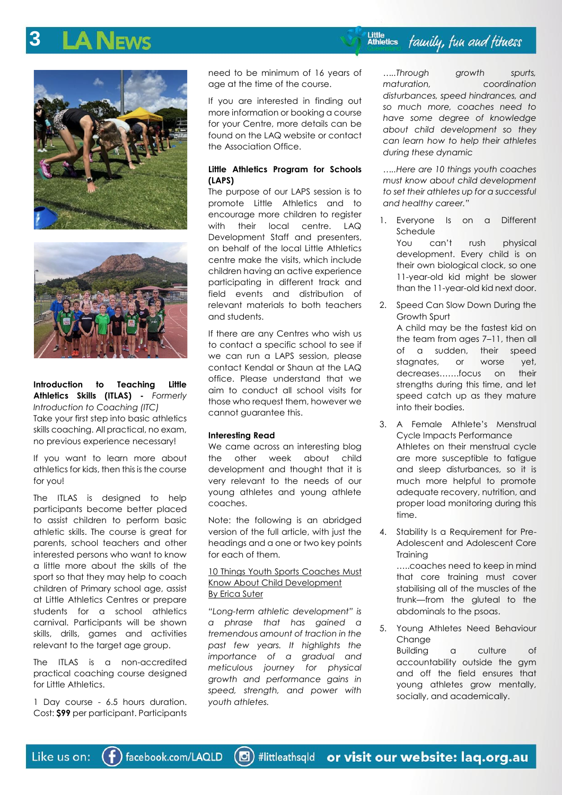# **3**





**Introduction to Teaching Little Athletics Skills (ITLAS) -** *Formerly Introduction to Coaching (ITC)* Take your first step into basic athletics skills coaching. All practical, no exam, no previous experience necessary!

If you want to learn more about athletics for kids, then this is the course for you!

The ITLAS is designed to help participants become better placed to assist children to perform basic athletic skills. The course is great for parents, school teachers and other interested persons who want to know a little more about the skills of the sport so that they may help to coach children of Primary school age, assist at Little Athletics Centres or prepare students for a school athletics carnival. Participants will be shown skills, drills, games and activities relevant to the target age group.

The ITLAS is a non-accredited practical coaching course designed for Little Athletics.

1 Day course - 6.5 hours duration. Cost: **\$99** per participant. Participants need to be minimum of 16 years of age at the time of the course.

If you are interested in finding out more information or booking a course for your Centre, more details can be found on the LAQ website or contact the Association Office.

### **Little Athletics Program for Schools (LAPS)**

The purpose of our LAPS session is to promote Little Athletics and to encourage more children to register with their local centre. LAQ Development Staff and presenters, on behalf of the local Little Athletics centre make the visits, which include children having an active experience participating in different track and field events and distribution of relevant materials to both teachers and students.

If there are any Centres who wish us to contact a specific school to see if we can run a LAPS session, please contact Kendal or Shaun at the LAQ office. Please understand that we aim to conduct all school visits for those who request them, however we cannot guarantee this.

### **Interesting Read**

We came across an interesting blog the other week about child development and thought that it is very relevant to the needs of our young athletes and young athlete coaches.

Note: the following is an abridged version of the full article, with just the headings and a one or two key points for each of them.

## 10 Things Youth Sports Coaches Must Know About Child Development By Erica Suter

*"Long-term athletic development" is a phrase that has gained a tremendous amount of traction in the past few years. It highlights the importance of a gradual and meticulous journey for physical growth and performance gains in speed, strength, and power with youth athletes.*

*…..Through growth spurts, maturation, coordination disturbances, speed hindrances, and so much more, coaches need to have some degree of knowledge about child development so they can learn how to help their athletes during these dynamic* 

*…..Here are 10 things youth coaches must know about child development to set their athletes up for a successful and healthy career."*

1. Everyone Is on a Different Schedule You can't rush physical

development. Every child is on their own biological clock, so one 11-year-old kid might be slower than the 11-year-old kid next door.

2. Speed Can Slow Down During the Growth Spurt A child may be the fastest kid on the team from ages 7–11, then all of a sudden, their speed stagnates, or worse yet,

decreases…….focus on their strengths during this time, and let speed catch up as they mature into their bodies.

- 3. A Female Athlete's Menstrual Cycle Impacts Performance Athletes on their menstrual cycle are more susceptible to fatigue and sleep disturbances, so it is much more helpful to promote adequate recovery, nutrition, and proper load monitoring during this time.
- 4. Stability Is a Requirement for Pre-Adolescent and Adolescent Core **Training**

…..coaches need to keep in mind that core training must cover stabilising all of the muscles of the trunk—from the gluteal to the abdominals to the psoas.

5. Young Athletes Need Behaviour Change Building a culture of accountability outside the gym and off the field ensures that young athletes grow mentally, socially, and academically.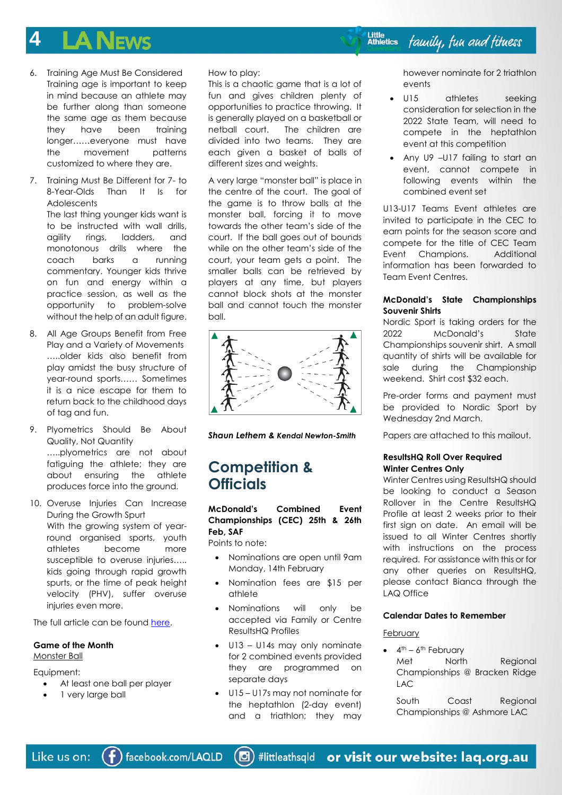### **4 A NEWS**

- 6. Training Age Must Be Considered Training age is important to keep in mind because an athlete may be further along than someone the same age as them because they have been training longer……everyone must have the movement patterns customized to where they are.
- 7. Training Must Be Different for 7- to 8-Year-Olds Than It Is for Adolescents The last thing younger kids want is to be instructed with wall drills, agility rings, ladders, and monotonous drills where the coach barks a running commentary. Younger kids thrive on fun and energy within a practice session, as well as the opportunity to problem-solve without the help of an adult figure.
- 8. All Age Groups Benefit from Free Play and a Variety of Movements …..older kids also benefit from play amidst the busy structure of year-round sports…… Sometimes it is a nice escape for them to return back to the childhood days of tag and fun.
- 9. Plyometrics Should Be About Quality, Not Quantity …..plyometrics are not about fatiguing the athlete; they are about ensuring the athlete produces force into the ground.
- 10. Overuse Injuries Can Increase During the Growth Spurt With the growing system of yearround organised sports, youth athletes become more susceptible to overuse injuries….. kids going through rapid growth spurts, or the time of peak height velocity (PHV), suffer overuse injuries even more.

The full article can be found [here.](https://simplifaster.com/articles/10-things-youth-sports-coaches-must-know-about-child-development/)

# **Game of the Month**

Monster Ball

Equipment:

- At least one ball per player
- 1 very large ball

How to play:

This is a chaotic game that is a lot of fun and gives children plenty of opportunities to practice throwing. It is generally played on a basketball or netball court. The children are divided into two teams. They are each given a basket of balls of different sizes and weights.

A very large "monster ball" is place in the centre of the court. The goal of the game is to throw balls at the monster ball, forcing it to move towards the other team's side of the court. If the ball goes out of bounds while on the other team's side of the court, your team gets a point. The smaller balls can be retrieved by players at any time, but players cannot block shots at the monster ball and cannot touch the monster ball.



*Shaun Lethem & Kendal Newton-Smith*

## **Competition & Officials**

**McDonald's Combined Event Championships (CEC) 25th & 26th Feb, SAF**

Points to note:

- Nominations are open until 9am Monday, 14th February
- Nomination fees are \$15 per athlete
- Nominations will only be accepted via Family or Centre ResultsHQ Profiles
- U13 U14s may only nominate for 2 combined events provided they are programmed on separate days
- U15 U17s may not nominate for the heptathlon (2-day event) and a triathlon; they may

however nominate for 2 triathlon events

- U15 athletes seeking consideration for selection in the 2022 State Team, will need to compete in the heptathlon event at this competition
- Any U9 -U17 failing to start an event, cannot compete in following events within the combined event set

U13-U17 Teams Event athletes are invited to participate in the CEC to earn points for the season score and compete for the title of CEC Team Event Champions. Additional information has been forwarded to Team Event Centres.

## **McDonald's State Championships Souvenir Shirts**

Nordic Sport is taking orders for the 2022 McDonald's State Championships souvenir shirt. A small quantity of shirts will be available for sale during the Championship weekend. Shirt cost \$32 each.

Pre-order forms and payment must be provided to Nordic Sport by Wednesday 2nd March.

Papers are attached to this mailout.

### **ResultsHQ Roll Over Required Winter Centres Only**

Winter Centres using ResultsHQ should be looking to conduct a Season Rollover in the Centre ResultsHQ Profile at least 2 weeks prior to their first sign on date. An email will be issued to all Winter Centres shortly with instructions on the process required. For assistance with this or for any other queries on ResultsHQ, please contact Bianca through the LAQ Office

## **Calendar Dates to Remember**

**February** 

 $\bullet$  4<sup>th</sup> – 6<sup>th</sup> February Met North Regional Championships @ Bracken Ridge LAC

South Coast Regional Championships @ Ashmore LAC